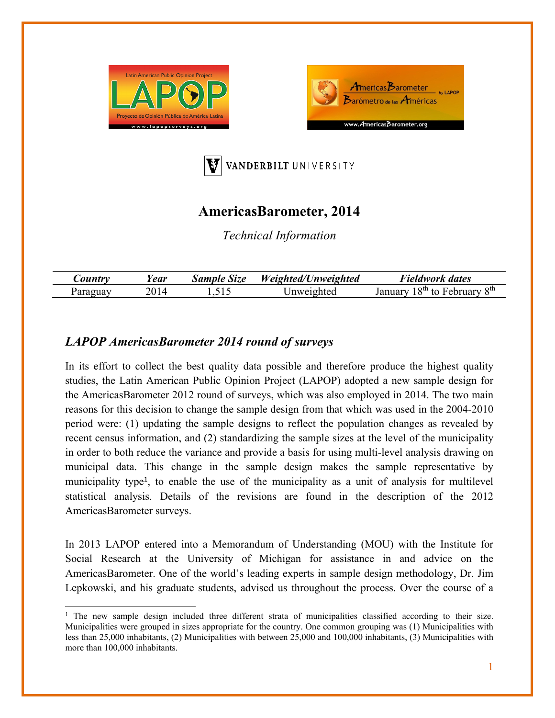





## **AmericasBarometer, 2014**

*Technical Information* 

| ear | Size<br>Sample | Weighted/L<br>Unweighted | Fieldwork dates                                              |
|-----|----------------|--------------------------|--------------------------------------------------------------|
|     | ⊥ - ~          | Inweighted               | $\mathbf{Q}$ th<br>$Q$ th $\pm$<br>$r$ lary<br>$\epsilon$ nt |

## *LAPOP AmericasBarometer 2014 round of surveys*

In its effort to collect the best quality data possible and therefore produce the highest quality studies, the Latin American Public Opinion Project (LAPOP) adopted a new sample design for the AmericasBarometer 2012 round of surveys, which was also employed in 2014. The two main reasons for this decision to change the sample design from that which was used in the 2004-2010 period were: (1) updating the sample designs to reflect the population changes as revealed by recent census information, and (2) standardizing the sample sizes at the level of the municipality in order to both reduce the variance and provide a basis for using multi-level analysis drawing on municipal data. This change in the sample design makes the sample representative by municipality type<sup>1</sup>, to enable the use of the municipality as a unit of analysis for multilevel statistical analysis. Details of the revisions are found in the description of the 2012 AmericasBarometer surveys.

In 2013 LAPOP entered into a Memorandum of Understanding (MOU) with the Institute for Social Research at the University of Michigan for assistance in and advice on the AmericasBarometer. One of the world's leading experts in sample design methodology, Dr. Jim Lepkowski, and his graduate students, advised us throughout the process. Over the course of a

<sup>&</sup>lt;sup>1</sup> The new sample design included three different strata of municipalities classified according to their size. Municipalities were grouped in sizes appropriate for the country. One common grouping was (1) Municipalities with less than 25,000 inhabitants, (2) Municipalities with between 25,000 and 100,000 inhabitants, (3) Municipalities with more than 100,000 inhabitants.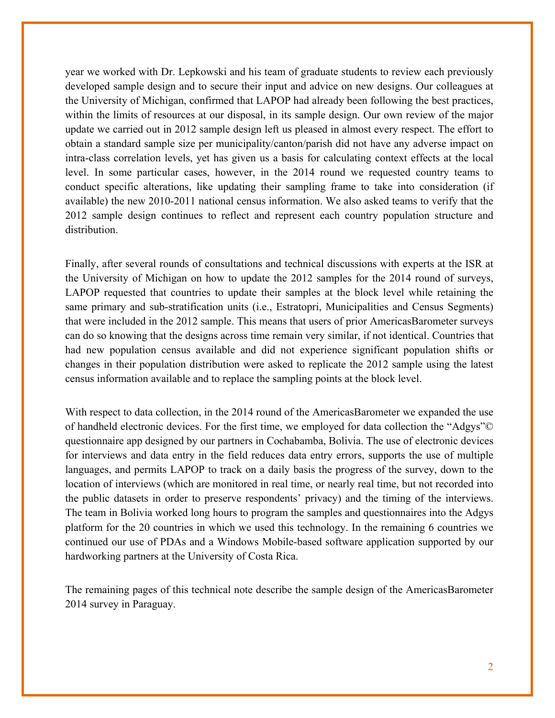year we worked with Dr. Lepkowski and his team of graduate students to review each previously developed sample design and to secure their input and advice on new designs. Our colleagues at the University of Michigan, confirmed that LAPOP had already been following the best practices, within the limits of resources at our disposal, in its sample design. Our own review of the major update we carried out in 2012 sample design left us pleased in almost every respect. The effort to obtain a standard sample size per municipality/canton/parish did not have any adverse impact on intra-class correlation levels, yet has given us a basis for calculating context effects at the local level. In some particular cases, however, in the 2014 round we requested country teams to conduct specific alterations, like updating their sampling frame to take into consideration (if available) the new 2010-2011 national census information. We also asked teams to verify that the 2012 sample design continues to reflect and represent each country population structure and distribution.

Finally, after several rounds of consultations and technical discussions with experts at the ISR at the University of Michigan on how to update the 2012 samples for the 2014 round of surveys, LAPOP requested that countries to update their samples at the block level while retaining the same primary and sub-stratification units (i.e., Estratopri, Municipalities and Census Segments) that were included in the 2012 sample. This means that users of prior AmericasBarometer surveys can do so knowing that the designs across time remain very similar, if not identical. Countries that had new population census available and did not experience significant population shifts or changes in their population distribution were asked to replicate the 2012 sample using the latest census information available and to replace the sampling points at the block level.

With respect to data collection, in the 2014 round of the AmericasBarometer we expanded the use of handheld electronic devices. For the first time, we employed for data collection the "Adgys"© questionnaire app designed by our partners in Cochabamba, Bolivia. The use of electronic devices for interviews and data entry in the field reduces data entry errors, supports the use of multiple languages, and permits LAPOP to track on a daily basis the progress of the survey, down to the location of interviews (which are monitored in real time, or nearly real time, but not recorded into the public datasets in order to preserve respondents' privacy) and the timing of the interviews. The team in Bolivia worked long hours to program the samples and questionnaires into the Adgys platform for the 20 countries in which we used this technology. In the remaining 6 countries we continued our use of PDAs and a Windows Mobile-based software application supported by our hardworking partners at the University of Costa Rica.

The remaining pages of this technical note describe the sample design of the AmericasBarometer 2014 survey in Paraguay.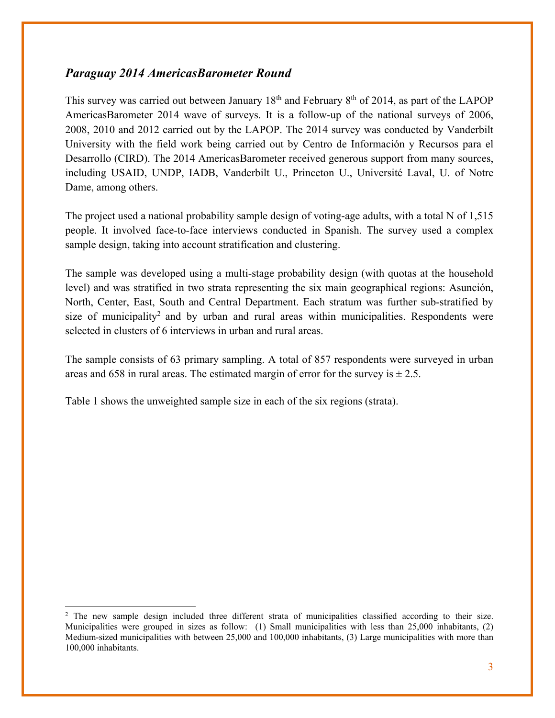## *Paraguay 2014 AmericasBarometer Round*

This survey was carried out between January  $18<sup>th</sup>$  and February  $8<sup>th</sup>$  of 2014, as part of the LAPOP AmericasBarometer 2014 wave of surveys. It is a follow-up of the national surveys of 2006, 2008, 2010 and 2012 carried out by the LAPOP. The 2014 survey was conducted by Vanderbilt University with the field work being carried out by Centro de Información y Recursos para el Desarrollo (CIRD). The 2014 AmericasBarometer received generous support from many sources, including USAID, UNDP, IADB, Vanderbilt U., Princeton U., Université Laval, U. of Notre Dame, among others.

The project used a national probability sample design of voting-age adults, with a total N of 1,515 people. It involved face-to-face interviews conducted in Spanish. The survey used a complex sample design, taking into account stratification and clustering.

The sample was developed using a multi-stage probability design (with quotas at the household level) and was stratified in two strata representing the six main geographical regions: Asunción, North, Center, East, South and Central Department. Each stratum was further sub-stratified by size of municipality<sup>2</sup> and by urban and rural areas within municipalities. Respondents were selected in clusters of 6 interviews in urban and rural areas.

The sample consists of 63 primary sampling. A total of 857 respondents were surveyed in urban areas and 658 in rural areas. The estimated margin of error for the survey is  $\pm 2.5$ .

Table 1 shows the unweighted sample size in each of the six regions (strata).

 <sup>2</sup> The new sample design included three different strata of municipalities classified according to their size. Municipalities were grouped in sizes as follow: (1) Small municipalities with less than 25,000 inhabitants, (2) Medium-sized municipalities with between 25,000 and 100,000 inhabitants, (3) Large municipalities with more than 100,000 inhabitants.